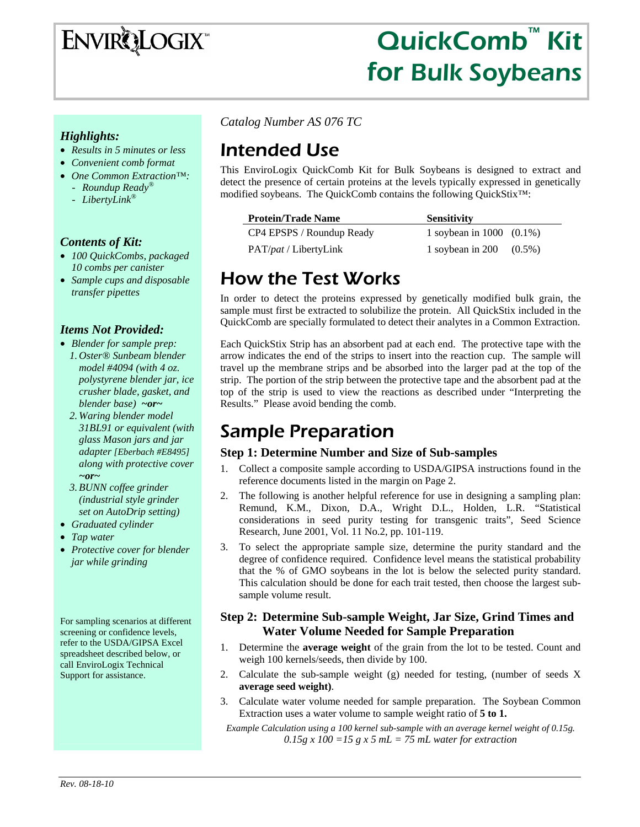

# QuickComb™ Kit for Bulk Soybeans

### *Highlights:*

- *Results in 5 minutes or less*
- *Convenient comb format*
- *One Common Extraction™:*  - *Roundup Ready®*
	- *LibertyLink®*
	-

### *Contents of Kit:*

- *100 QuickCombs, packaged 10 combs per canister*
- *Sample cups and disposable transfer pipettes*

### *Items Not Provided:*

- *Blender for sample prep:* 
	- *1. Oster® Sunbeam blender model #4094 (with 4 oz. polystyrene blender jar, ice crusher blade, gasket, and blender base) ~or~*
	- *2. Waring blender model 31BL91 or equivalent (with glass Mason jars and jar adapter [Eberbach #E8495] along with protective cover ~or~*
	- *3.BUNN coffee grinder (industrial style grinder set on AutoDrip setting)*
- *Graduated cylinder*
- *Tap water*
- *Protective cover for blender jar while grinding*

For sampling scenarios at different screening or confidence levels, refer to the USDA/GIPSA Excel spreadsheet described below, or call EnviroLogix Technical Support for assistance.

*Catalog Number AS 076 TC* 

# Intended Use

This EnviroLogix QuickComb Kit for Bulk Soybeans is designed to extract and detect the presence of certain proteins at the levels typically expressed in genetically modified soybeans. The QuickComb contains the following QuickStix™:

### **Protein/Trade Name Sensitivity**

| CP4 EPSPS / Roundup Ready     |
|-------------------------------|
| PAT/ <i>pat</i> / LibertyLink |

 $y = 1$  soybean in 1000 (0.1%) 1 soybean in 200 (0.5%)

# How the Test Works

In order to detect the proteins expressed by genetically modified bulk grain, the sample must first be extracted to solubilize the protein. All QuickStix included in the QuickComb are specially formulated to detect their analytes in a Common Extraction.

Each QuickStix Strip has an absorbent pad at each end. The protective tape with the arrow indicates the end of the strips to insert into the reaction cup. The sample will travel up the membrane strips and be absorbed into the larger pad at the top of the strip. The portion of the strip between the protective tape and the absorbent pad at the top of the strip is used to view the reactions as described under "Interpreting the Results." Please avoid bending the comb.

# Sample Preparation

## **Step 1: Determine Number and Size of Sub-samples**

- 1. Collect a composite sample according to USDA/GIPSA instructions found in the reference documents listed in the margin on Page 2.
- 2. The following is another helpful reference for use in designing a sampling plan: Remund, K.M., Dixon, D.A., Wright D.L., Holden, L.R. "Statistical considerations in seed purity testing for transgenic traits", Seed Science Research, June 2001, Vol. 11 No.2, pp. 101-119.
- 3. To select the appropriate sample size, determine the purity standard and the degree of confidence required. Confidence level means the statistical probability that the % of GMO soybeans in the lot is below the selected purity standard. This calculation should be done for each trait tested, then choose the largest subsample volume result.

### **Step 2: Determine Sub-sample Weight, Jar Size, Grind Times and Water Volume Needed for Sample Preparation**

- 1. Determine the **average weight** of the grain from the lot to be tested. Count and weigh 100 kernels/seeds, then divide by 100.
- 2. Calculate the sub-sample weight (g) needed for testing, (number of seeds X **average seed weight)**.
- 3. Calculate water volume needed for sample preparation. The Soybean Common Extraction uses a water volume to sample weight ratio of **5 to 1.**

*Example Calculation using a 100 kernel sub-sample with an average kernel weight of 0.15g.*   $0.15g \times 100 = 15 g \times 5 mL = 75 mL$  water for extraction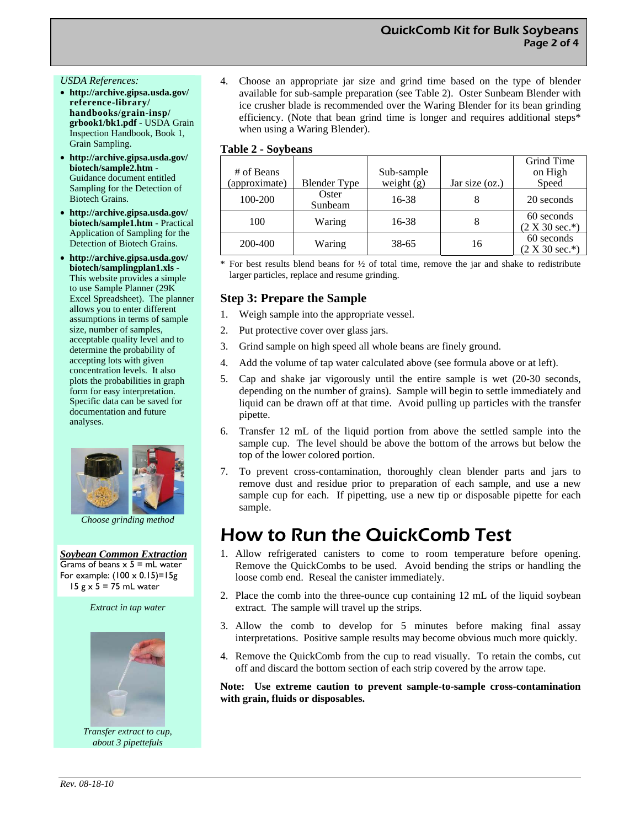#### *USDA References:*

- **http://archive.gipsa.usda.gov/ reference-library/ handbooks/grain-insp/ grbook1/bk1.pdf** - USDA Grain Inspection Handbook, Book 1, Grain Sampling.
- **http://archive.gipsa.usda.gov/ biotech/sample2.htm** - Guidance document entitled Sampling for the Detection of Biotech Grains.
- **http://archive.gipsa.usda.gov/ biotech/sample1.htm** - Practical Application of Sampling for the Detection of Biotech Grains.
- **http://archive.gipsa.usda.gov/ biotech/samplingplan1.xls -**  This website provides a simple to use Sample Planner (29K Excel Spreadsheet). The planner allows you to enter different assumptions in terms of sample size, number of samples, acceptable quality level and to determine the probability of accepting lots with given concentration levels. It also plots the probabilities in graph form for easy interpretation. Specific data can be saved for documentation and future analyses.



 *Choose grinding method* 

*Soybean Common Extraction* Grams of beans  $x$  5 = mL water For example:  $(100 \times 0.15)=15g$ 15  $g \times 5 = 75$  mL water

*Extract in tap water* 



*Transfer extract to cup, about 3 pipettefuls* 

4. Choose an appropriate jar size and grind time based on the type of blender available for sub-sample preparation (see Table 2). Oster Sunbeam Blender with ice crusher blade is recommended over the Waring Blender for its bean grinding efficiency. (Note that bean grind time is longer and requires additional steps\* when using a Waring Blender).

#### **Table 2 - Soybeans**

| # of Beans<br>(approximate) | <b>Blender Type</b> | Sub-sample<br>weight $(g)$ | Jar size (oz.) | Grind Time<br>on High<br>Speed |
|-----------------------------|---------------------|----------------------------|----------------|--------------------------------|
|                             | Oster               |                            |                |                                |
| 100-200                     | Sunbeam             | $16 - 38$                  |                | 20 seconds                     |
| 100                         | Waring              | 16-38                      | 8              | 60 seconds                     |
|                             |                     |                            |                | $(2 X 30 sec.*)$               |
| 200-400                     | Waring              | 38-65                      | 16             | 60 seconds                     |
|                             |                     |                            |                | $(2 X 30 sec.*)$               |

For best results blend beans for  $\frac{1}{2}$  of total time, remove the jar and shake to redistribute larger particles, replace and resume grinding.

### **Step 3: Prepare the Sample**

- 1. Weigh sample into the appropriate vessel.
- 2. Put protective cover over glass jars.
- 3. Grind sample on high speed all whole beans are finely ground.
- 4. Add the volume of tap water calculated above (see formula above or at left).
- 5. Cap and shake jar vigorously until the entire sample is wet (20-30 seconds, depending on the number of grains). Sample will begin to settle immediately and liquid can be drawn off at that time. Avoid pulling up particles with the transfer pipette.
- 6. Transfer 12 mL of the liquid portion from above the settled sample into the sample cup. The level should be above the bottom of the arrows but below the top of the lower colored portion.
- 7. To prevent cross-contamination, thoroughly clean blender parts and jars to remove dust and residue prior to preparation of each sample, and use a new sample cup for each. If pipetting, use a new tip or disposable pipette for each sample.

# How to Run the QuickComb Test

- 1. Allow refrigerated canisters to come to room temperature before opening. Remove the QuickCombs to be used. Avoid bending the strips or handling the loose comb end. Reseal the canister immediately.
- 2. Place the comb into the three-ounce cup containing 12 mL of the liquid soybean extract. The sample will travel up the strips.
- 3. Allow the comb to develop for 5 minutes before making final assay interpretations. Positive sample results may become obvious much more quickly.
- 4. Remove the QuickComb from the cup to read visually. To retain the combs, cut off and discard the bottom section of each strip covered by the arrow tape.

**Note: Use extreme caution to prevent sample-to-sample cross-contamination with grain, fluids or disposables.**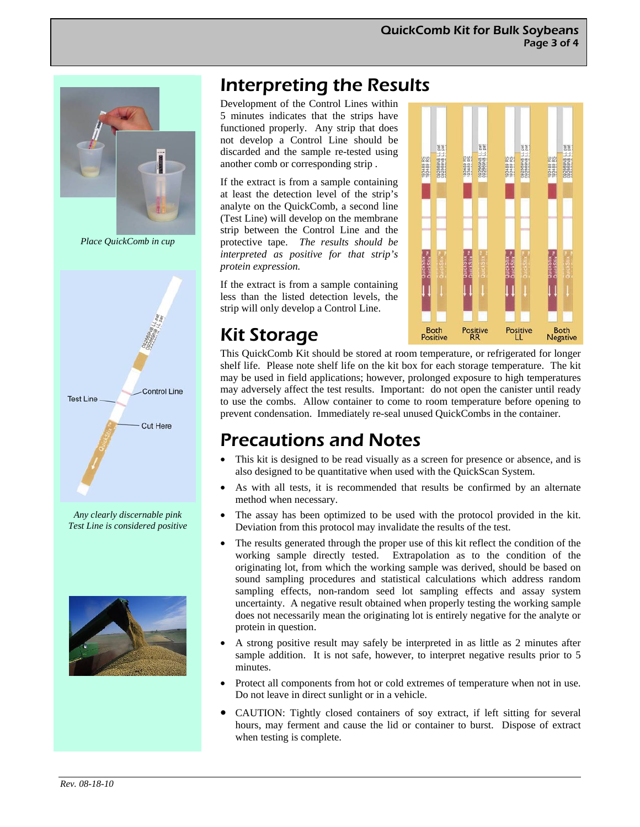

*Place QuickComb in cup* 



*Any clearly discernable pink Test Line is considered positive* 



# Interpreting the Results

Development of the Control Lines within 5 minutes indicates that the strips have functioned properly. Any strip that does not develop a Control Line should be discarded and the sample re-tested using another comb or corresponding strip .

If the extract is from a sample containing at least the detection level of the strip's analyte on the QuickComb, a second line (Test Line) will develop on the membrane strip between the Control Line and the protective tape. *The results should be interpreted as positive for that strip's protein expression.* 

If the extract is from a sample containing less than the listed detection levels, the strip will only develop a Control Line.



# Kit Storage

This QuickComb Kit should be stored at room temperature, or refrigerated for longer shelf life. Please note shelf life on the kit box for each storage temperature. The kit may be used in field applications; however, prolonged exposure to high temperatures may adversely affect the test results. Important: do not open the canister until ready to use the combs. Allow container to come to room temperature before opening to prevent condensation. Immediately re-seal unused QuickCombs in the container.

# Precautions and Notes

- This kit is designed to be read visually as a screen for presence or absence, and is also designed to be quantitative when used with the QuickScan System.
- As with all tests, it is recommended that results be confirmed by an alternate method when necessary.
- The assay has been optimized to be used with the protocol provided in the kit. Deviation from this protocol may invalidate the results of the test.
- The results generated through the proper use of this kit reflect the condition of the working sample directly tested. Extrapolation as to the condition of the originating lot, from which the working sample was derived, should be based on sound sampling procedures and statistical calculations which address random sampling effects, non-random seed lot sampling effects and assay system uncertainty. A negative result obtained when properly testing the working sample does not necessarily mean the originating lot is entirely negative for the analyte or protein in question.
- A strong positive result may safely be interpreted in as little as 2 minutes after sample addition. It is not safe, however, to interpret negative results prior to 5 minutes.
- Protect all components from hot or cold extremes of temperature when not in use. Do not leave in direct sunlight or in a vehicle.
- CAUTION: Tightly closed containers of soy extract, if left sitting for several hours, may ferment and cause the lid or container to burst. Dispose of extract when testing is complete.